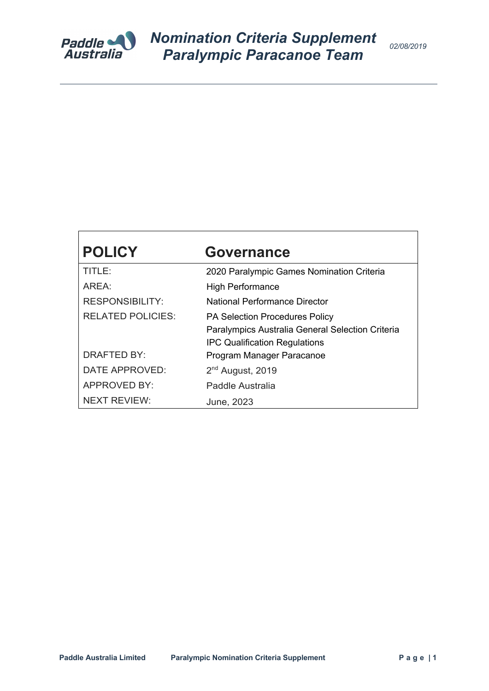

# **POLICY Governance**

| TITLE:                   | 2020 Paralympic Games Nomination Criteria        |  |  |  |
|--------------------------|--------------------------------------------------|--|--|--|
| AREA:                    | <b>High Performance</b>                          |  |  |  |
| <b>RESPONSIBILITY:</b>   | National Performance Director                    |  |  |  |
| <b>RELATED POLICIES:</b> | <b>PA Selection Procedures Policy</b>            |  |  |  |
|                          | Paralympics Australia General Selection Criteria |  |  |  |
|                          | <b>IPC Qualification Regulations</b>             |  |  |  |
| DRAFTED BY:              | Program Manager Paracanoe                        |  |  |  |
| DATE APPROVED:           | $2nd$ August, 2019                               |  |  |  |
| <b>APPROVED BY:</b>      | Paddle Australia                                 |  |  |  |
| <b>NEXT REVIEW:</b>      | June, 2023                                       |  |  |  |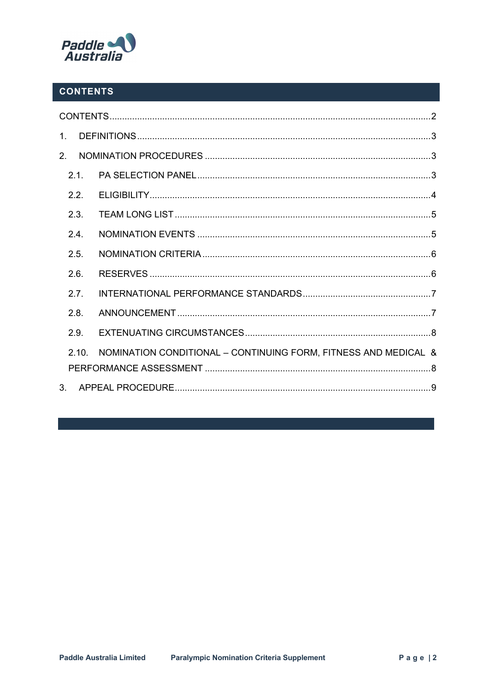

## **CONTENTS**

| $\mathbf{1}$   |                                                                 |  |
|----------------|-----------------------------------------------------------------|--|
| 2 <sub>1</sub> |                                                                 |  |
| 2.1.           |                                                                 |  |
| 2.2.           |                                                                 |  |
| 2.3.           |                                                                 |  |
| 2.4.           |                                                                 |  |
| 2.5.           |                                                                 |  |
| 2.6.           |                                                                 |  |
| 2.7.           |                                                                 |  |
| 2.8.           |                                                                 |  |
| 2.9.           |                                                                 |  |
| 210            | NOMINATION CONDITIONAL - CONTINUING FORM, FITNESS AND MEDICAL & |  |
|                |                                                                 |  |
| 3.             |                                                                 |  |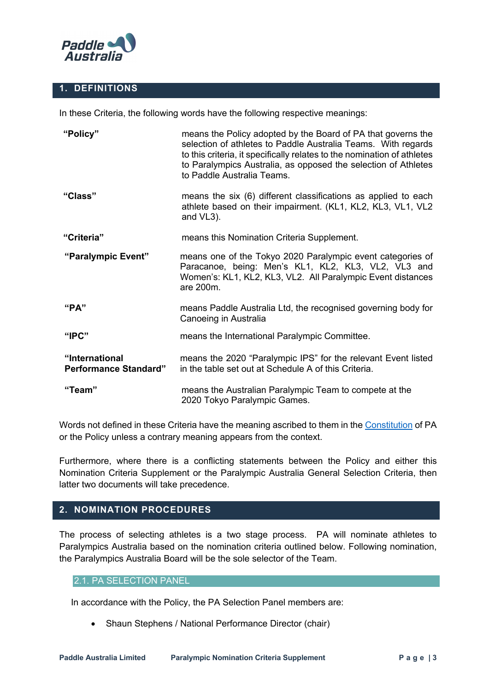

### **1. DEFINITIONS**

In these Criteria, the following words have the following respective meanings:

| "Policy"                                       | means the Policy adopted by the Board of PA that governs the<br>selection of athletes to Paddle Australia Teams. With regards<br>to this criteria, it specifically relates to the nomination of athletes<br>to Paralympics Australia, as opposed the selection of Athletes<br>to Paddle Australia Teams. |
|------------------------------------------------|----------------------------------------------------------------------------------------------------------------------------------------------------------------------------------------------------------------------------------------------------------------------------------------------------------|
| "Class"                                        | means the six (6) different classifications as applied to each<br>athlete based on their impairment. (KL1, KL2, KL3, VL1, VL2<br>and VL3).                                                                                                                                                               |
| "Criteria"                                     | means this Nomination Criteria Supplement.                                                                                                                                                                                                                                                               |
| "Paralympic Event"                             | means one of the Tokyo 2020 Paralympic event categories of<br>Paracanoe, being: Men's KL1, KL2, KL3, VL2, VL3 and<br>Women's: KL1, KL2, KL3, VL2. All Paralympic Event distances<br>are 200m.                                                                                                            |
| "PA"                                           | means Paddle Australia Ltd, the recognised governing body for<br>Canoeing in Australia                                                                                                                                                                                                                   |
| "IPC"                                          | means the International Paralympic Committee.                                                                                                                                                                                                                                                            |
| "International<br><b>Performance Standard"</b> | means the 2020 "Paralympic IPS" for the relevant Event listed<br>in the table set out at Schedule A of this Criteria.                                                                                                                                                                                    |
| "Team"                                         | means the Australian Paralympic Team to compete at the<br>2020 Tokyo Paralympic Games.                                                                                                                                                                                                                   |

Words not defined in these Criteria have the meaning ascribed to them in the Constitution of PA or the Policy unless a contrary meaning appears from the context.

Furthermore, where there is a conflicting statements between the Policy and either this Nomination Criteria Supplement or the Paralympic Australia General Selection Criteria, then latter two documents will take precedence.

#### **2. NOMINATION PROCEDURES**

The process of selecting athletes is a two stage process. PA will nominate athletes to Paralympics Australia based on the nomination criteria outlined below. Following nomination, the Paralympics Australia Board will be the sole selector of the Team.

#### 2.1. PA SELECTION PANEL

In accordance with the Policy, the PA Selection Panel members are:

• Shaun Stephens / National Performance Director (chair)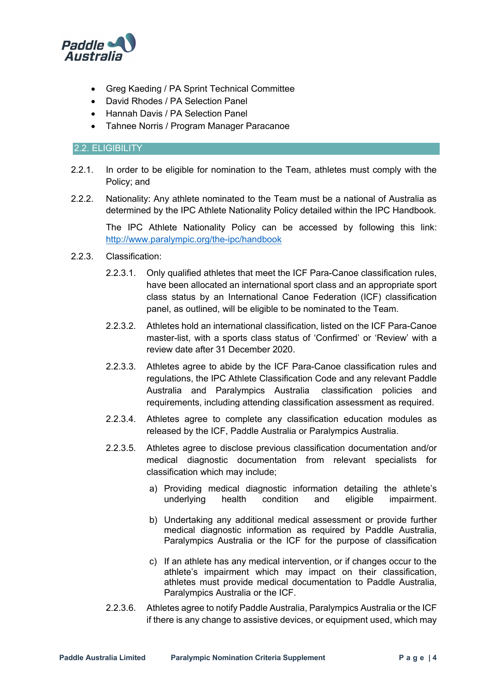

- Greg Kaeding / PA Sprint Technical Committee
- David Rhodes / PA Selection Panel
- Hannah Davis / PA Selection Panel
- Tahnee Norris / Program Manager Paracanoe

#### 2.2. ELIGIBILITY

- 2.2.1. In order to be eligible for nomination to the Team, athletes must comply with the Policy; and
- 2.2.2. Nationality: Any athlete nominated to the Team must be a national of Australia as determined by the IPC Athlete Nationality Policy detailed within the IPC Handbook.

The IPC Athlete Nationality Policy can be accessed by following this link: http://www.paralympic.org/the-ipc/handbook

- 2.2.3. Classification:
	- 2.2.3.1. Only qualified athletes that meet the ICF Para-Canoe classification rules, have been allocated an international sport class and an appropriate sport class status by an International Canoe Federation (ICF) classification panel, as outlined, will be eligible to be nominated to the Team.
	- 2.2.3.2. Athletes hold an international classification, listed on the ICF Para-Canoe master-list, with a sports class status of 'Confirmed' or 'Review' with a review date after 31 December 2020.
	- 2.2.3.3. Athletes agree to abide by the ICF Para-Canoe classification rules and regulations, the IPC Athlete Classification Code and any relevant Paddle Australia and Paralympics Australia classification policies and requirements, including attending classification assessment as required.
	- 2.2.3.4. Athletes agree to complete any classification education modules as released by the ICF, Paddle Australia or Paralympics Australia.
	- 2.2.3.5. Athletes agree to disclose previous classification documentation and/or medical diagnostic documentation from relevant specialists for classification which may include;
		- a) Providing medical diagnostic information detailing the athlete's underlying health condition and eligible impairment.
		- b) Undertaking any additional medical assessment or provide further medical diagnostic information as required by Paddle Australia, Paralympics Australia or the ICF for the purpose of classification
		- c) If an athlete has any medical intervention, or if changes occur to the athlete's impairment which may impact on their classification, athletes must provide medical documentation to Paddle Australia, Paralympics Australia or the ICF.
	- 2.2.3.6. Athletes agree to notify Paddle Australia, Paralympics Australia or the ICF if there is any change to assistive devices, or equipment used, which may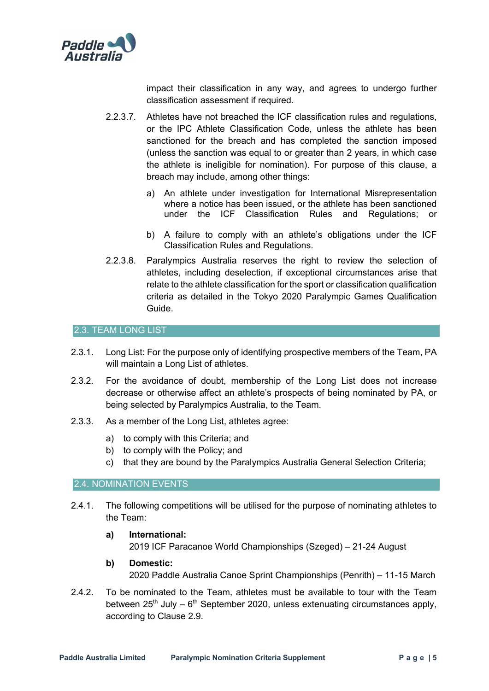

impact their classification in any way, and agrees to undergo further classification assessment if required.

- 2.2.3.7. Athletes have not breached the ICF classification rules and regulations, or the IPC Athlete Classification Code, unless the athlete has been sanctioned for the breach and has completed the sanction imposed (unless the sanction was equal to or greater than 2 years, in which case the athlete is ineligible for nomination). For purpose of this clause, a breach may include, among other things:
	- a) An athlete under investigation for International Misrepresentation where a notice has been issued, or the athlete has been sanctioned under the ICF Classification Rules and Regulations; or
	- b) A failure to comply with an athlete's obligations under the ICF Classification Rules and Regulations.
- 2.2.3.8. Paralympics Australia reserves the right to review the selection of athletes, including deselection, if exceptional circumstances arise that relate to the athlete classification for the sport or classification qualification criteria as detailed in the Tokyo 2020 Paralympic Games Qualification Guide.

#### 2.3. TEAM LONG LIST

- 2.3.1. Long List: For the purpose only of identifying prospective members of the Team, PA will maintain a Long List of athletes.
- 2.3.2. For the avoidance of doubt, membership of the Long List does not increase decrease or otherwise affect an athlete's prospects of being nominated by PA, or being selected by Paralympics Australia, to the Team.
- 2.3.3. As a member of the Long List, athletes agree:
	- a) to comply with this Criteria; and
	- b) to comply with the Policy; and
	- c) that they are bound by the Paralympics Australia General Selection Criteria;

#### 2.4. NOMINATION EVENTS

- 2.4.1. The following competitions will be utilised for the purpose of nominating athletes to the Team:
	- **a) International:** 2019 ICF Paracanoe World Championships (Szeged) – 21-24 August
	- **b) Domestic:** 2020 Paddle Australia Canoe Sprint Championships (Penrith) – 11-15 March
- 2.4.2. To be nominated to the Team, athletes must be available to tour with the Team between  $25<sup>th</sup>$  July –  $6<sup>th</sup>$  September 2020, unless extenuating circumstances apply, according to Clause 2.9.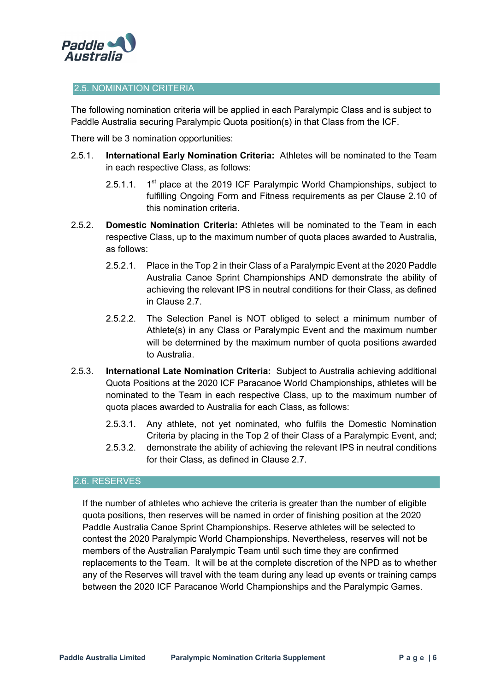

#### 2.5. NOMINATION CRITERIA

The following nomination criteria will be applied in each Paralympic Class and is subject to Paddle Australia securing Paralympic Quota position(s) in that Class from the ICF.

There will be 3 nomination opportunities:

- 2.5.1. **International Early Nomination Criteria:** Athletes will be nominated to the Team in each respective Class, as follows:
	- 2.5.1.1.  $1<sup>st</sup>$  place at the 2019 ICF Paralympic World Championships, subject to fulfilling Ongoing Form and Fitness requirements as per Clause 2.10 of this nomination criteria.
- 2.5.2. **Domestic Nomination Criteria:** Athletes will be nominated to the Team in each respective Class, up to the maximum number of quota places awarded to Australia, as follows:
	- 2.5.2.1. Place in the Top 2 in their Class of a Paralympic Event at the 2020 Paddle Australia Canoe Sprint Championships AND demonstrate the ability of achieving the relevant IPS in neutral conditions for their Class, as defined in Clause 2.7.
	- 2.5.2.2. The Selection Panel is NOT obliged to select a minimum number of Athlete(s) in any Class or Paralympic Event and the maximum number will be determined by the maximum number of quota positions awarded to Australia.
- 2.5.3. **International Late Nomination Criteria:** Subject to Australia achieving additional Quota Positions at the 2020 ICF Paracanoe World Championships, athletes will be nominated to the Team in each respective Class, up to the maximum number of quota places awarded to Australia for each Class, as follows:
	- 2.5.3.1. Any athlete, not yet nominated, who fulfils the Domestic Nomination Criteria by placing in the Top 2 of their Class of a Paralympic Event, and;
	- 2.5.3.2. demonstrate the ability of achieving the relevant IPS in neutral conditions for their Class, as defined in Clause 2.7.

#### 2.6. RESERVES

If the number of athletes who achieve the criteria is greater than the number of eligible quota positions, then reserves will be named in order of finishing position at the 2020 Paddle Australia Canoe Sprint Championships. Reserve athletes will be selected to contest the 2020 Paralympic World Championships. Nevertheless, reserves will not be members of the Australian Paralympic Team until such time they are confirmed replacements to the Team. It will be at the complete discretion of the NPD as to whether any of the Reserves will travel with the team during any lead up events or training camps between the 2020 ICF Paracanoe World Championships and the Paralympic Games.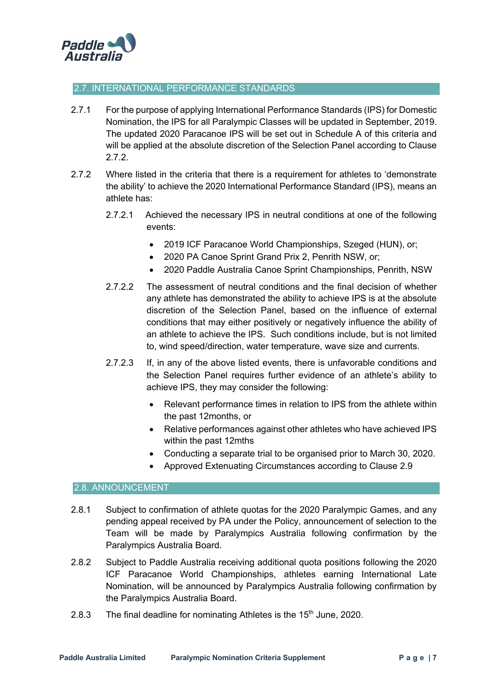

#### 2.7. INTERNATIONAL PERFORMANCE STANDARDS

- 2.7.1 For the purpose of applying International Performance Standards (IPS) for Domestic Nomination, the IPS for all Paralympic Classes will be updated in September, 2019. The updated 2020 Paracanoe IPS will be set out in Schedule A of this criteria and will be applied at the absolute discretion of the Selection Panel according to Clause 2.7.2.
- 2.7.2 Where listed in the criteria that there is a requirement for athletes to 'demonstrate the ability' to achieve the 2020 International Performance Standard (IPS), means an athlete has:
	- 2.7.2.1 Achieved the necessary IPS in neutral conditions at one of the following events:
		- 2019 ICF Paracanoe World Championships, Szeged (HUN), or;
		- 2020 PA Canoe Sprint Grand Prix 2, Penrith NSW, or;
		- 2020 Paddle Australia Canoe Sprint Championships, Penrith, NSW
	- 2.7.2.2 The assessment of neutral conditions and the final decision of whether any athlete has demonstrated the ability to achieve IPS is at the absolute discretion of the Selection Panel, based on the influence of external conditions that may either positively or negatively influence the ability of an athlete to achieve the IPS. Such conditions include, but is not limited to, wind speed/direction, water temperature, wave size and currents.
	- 2.7.2.3 If, in any of the above listed events, there is unfavorable conditions and the Selection Panel requires further evidence of an athlete's ability to achieve IPS, they may consider the following:
		- Relevant performance times in relation to IPS from the athlete within the past 12months, or
		- Relative performances against other athletes who have achieved IPS within the past 12mths
		- Conducting a separate trial to be organised prior to March 30, 2020.
		- Approved Extenuating Circumstances according to Clause 2.9

#### 2.8. ANNOUNCEMENT

- 2.8.1 Subject to confirmation of athlete quotas for the 2020 Paralympic Games, and any pending appeal received by PA under the Policy, announcement of selection to the Team will be made by Paralympics Australia following confirmation by the Paralympics Australia Board.
- 2.8.2 Subject to Paddle Australia receiving additional quota positions following the 2020 ICF Paracanoe World Championships, athletes earning International Late Nomination, will be announced by Paralympics Australia following confirmation by the Paralympics Australia Board.
- 2.8.3 The final deadline for nominating Athletes is the  $15<sup>th</sup>$  June, 2020.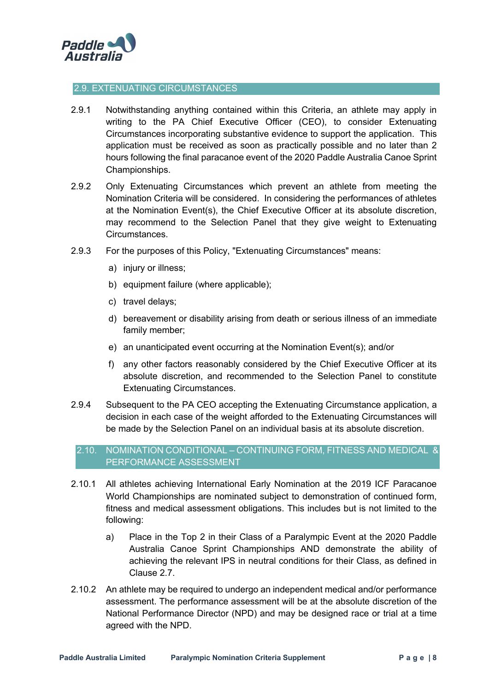

#### 2.9. EXTENUATING CIRCUMSTANCES

- 2.9.1 Notwithstanding anything contained within this Criteria, an athlete may apply in writing to the PA Chief Executive Officer (CEO), to consider Extenuating Circumstances incorporating substantive evidence to support the application. This application must be received as soon as practically possible and no later than 2 hours following the final paracanoe event of the 2020 Paddle Australia Canoe Sprint Championships.
- 2.9.2 Only Extenuating Circumstances which prevent an athlete from meeting the Nomination Criteria will be considered. In considering the performances of athletes at the Nomination Event(s), the Chief Executive Officer at its absolute discretion, may recommend to the Selection Panel that they give weight to Extenuating Circumstances.
- 2.9.3 For the purposes of this Policy, "Extenuating Circumstances" means:
	- a) injury or illness;
	- b) equipment failure (where applicable);
	- c) travel delays;
	- d) bereavement or disability arising from death or serious illness of an immediate family member;
	- e) an unanticipated event occurring at the Nomination Event(s); and/or
	- f) any other factors reasonably considered by the Chief Executive Officer at its absolute discretion, and recommended to the Selection Panel to constitute Extenuating Circumstances.
- 2.9.4 Subsequent to the PA CEO accepting the Extenuating Circumstance application, a decision in each case of the weight afforded to the Extenuating Circumstances will be made by the Selection Panel on an individual basis at its absolute discretion.

#### 2.10. NOMINATION CONDITIONAL – CONTINUING FORM, FITNESS AND MEDICAL & PERFORMANCE ASSESSMENT

- 2.10.1 All athletes achieving International Early Nomination at the 2019 ICF Paracanoe World Championships are nominated subject to demonstration of continued form, fitness and medical assessment obligations. This includes but is not limited to the following:
	- a) Place in the Top 2 in their Class of a Paralympic Event at the 2020 Paddle Australia Canoe Sprint Championships AND demonstrate the ability of achieving the relevant IPS in neutral conditions for their Class, as defined in Clause 2.7.
- 2.10.2 An athlete may be required to undergo an independent medical and/or performance assessment. The performance assessment will be at the absolute discretion of the National Performance Director (NPD) and may be designed race or trial at a time agreed with the NPD.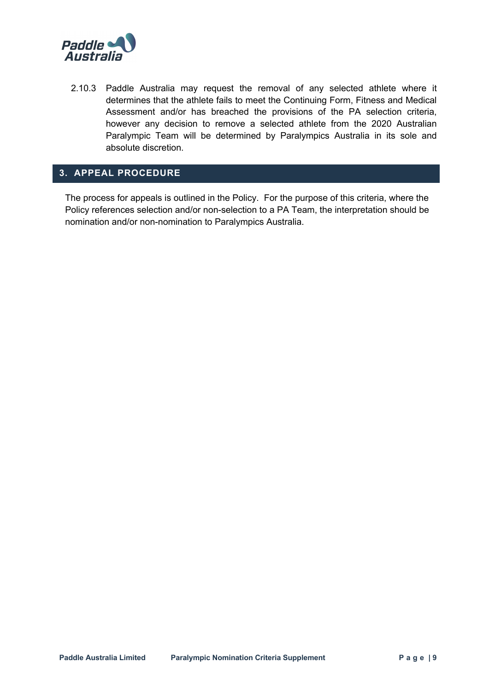

2.10.3 Paddle Australia may request the removal of any selected athlete where it determines that the athlete fails to meet the Continuing Form, Fitness and Medical Assessment and/or has breached the provisions of the PA selection criteria, however any decision to remove a selected athlete from the 2020 Australian Paralympic Team will be determined by Paralympics Australia in its sole and absolute discretion.

### **3. APPEAL PROCEDURE**

The process for appeals is outlined in the Policy. For the purpose of this criteria, where the Policy references selection and/or non-selection to a PA Team, the interpretation should be nomination and/or non-nomination to Paralympics Australia.